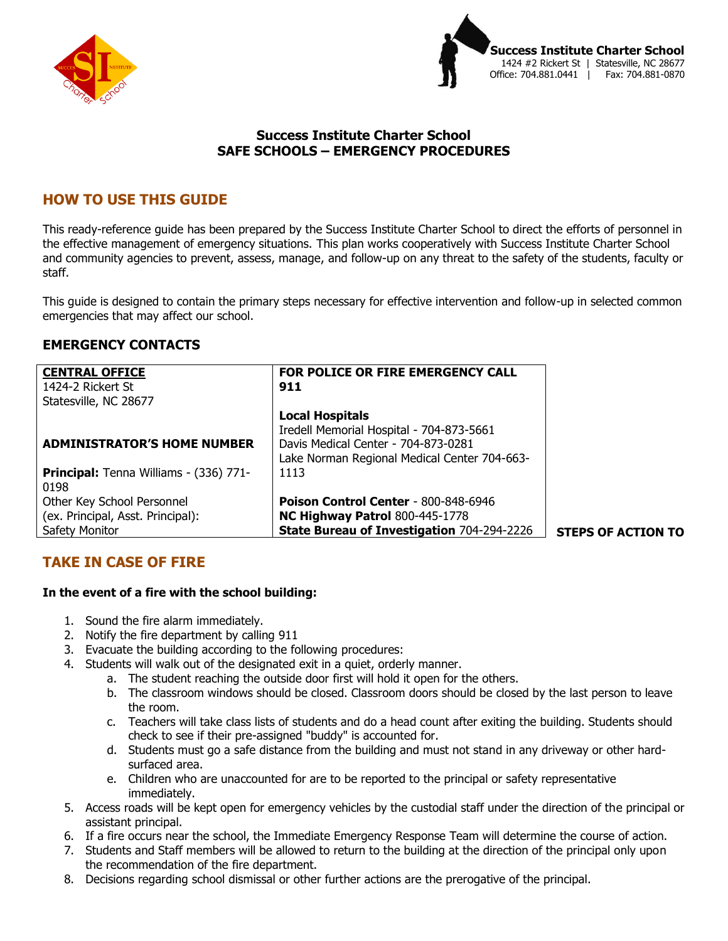



# **Success Institute Charter School SAFE SCHOOLS – EMERGENCY PROCEDURES**

# **HOW TO USE THIS GUIDE**

This ready-reference guide has been prepared by the Success Institute Charter School to direct the efforts of personnel in the effective management of emergency situations. This plan works cooperatively with Success Institute Charter School and community agencies to prevent, assess, manage, and follow-up on any threat to the safety of the students, faculty or staff.

This guide is designed to contain the primary steps necessary for effective intervention and follow-up in selected common emergencies that may affect our school.

# **EMERGENCY CONTACTS**

| <b>CENTRAL OFFICE</b>                         | FOR POLICE OR FIRE EMERGENCY CALL                 |
|-----------------------------------------------|---------------------------------------------------|
| 1424-2 Rickert St                             | 911                                               |
| Statesville, NC 28677                         |                                                   |
|                                               | <b>Local Hospitals</b>                            |
|                                               | Iredell Memorial Hospital - 704-873-5661          |
| <b>ADMINISTRATOR'S HOME NUMBER</b>            | Davis Medical Center - 704-873-0281               |
|                                               | Lake Norman Regional Medical Center 704-663-      |
| <b>Principal:</b> Tenna Williams - (336) 771- | 1113                                              |
| 0198                                          |                                                   |
| Other Key School Personnel                    | <b>Poison Control Center - 800-848-6946</b>       |
| (ex. Principal, Asst. Principal):             | NC Highway Patrol 800-445-1778                    |
| Safety Monitor                                | <b>State Bureau of Investigation 704-294-2226</b> |

# **TAKE IN CASE OF FIRE**

#### **In the event of a fire with the school building:**

- 1. Sound the fire alarm immediately.
- 2. Notify the fire department by calling 911
- 3. Evacuate the building according to the following procedures:
- 4. Students will walk out of the designated exit in a quiet, orderly manner.
	- a. The student reaching the outside door first will hold it open for the others.
		- b. The classroom windows should be closed. Classroom doors should be closed by the last person to leave the room.
		- c. Teachers will take class lists of students and do a head count after exiting the building. Students should check to see if their pre-assigned "buddy" is accounted for.
		- d. Students must go a safe distance from the building and must not stand in any driveway or other hardsurfaced area.
		- e. Children who are unaccounted for are to be reported to the principal or safety representative immediately.
- 5. Access roads will be kept open for emergency vehicles by the custodial staff under the direction of the principal or assistant principal.
- 6. If a fire occurs near the school, the Immediate Emergency Response Team will determine the course of action.
- 7. Students and Staff members will be allowed to return to the building at the direction of the principal only upon the recommendation of the fire department.
- 8. Decisions regarding school dismissal or other further actions are the prerogative of the principal.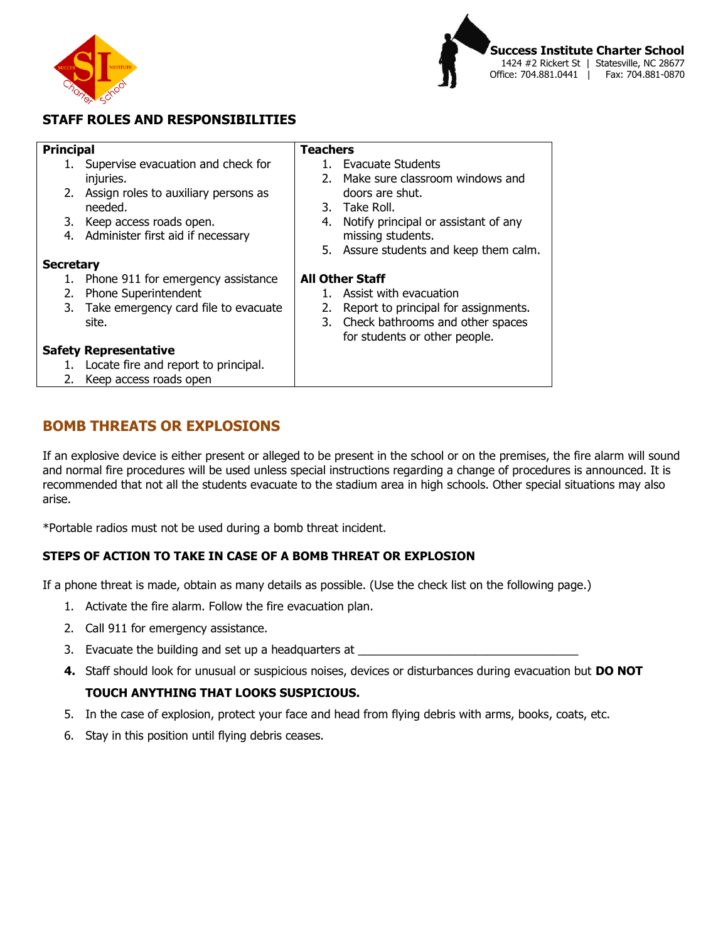



# **STAFF ROLES AND RESPONSIBILITIES**

| <b>Principal</b> |    |                                       | Teachers                                   |
|------------------|----|---------------------------------------|--------------------------------------------|
|                  |    | 1. Supervise evacuation and check for | 1. Evacuate Students                       |
|                  |    | injuries.                             | Make sure classroom windows and<br>2.      |
|                  | 2. | Assign roles to auxiliary persons as  | doors are shut.                            |
|                  |    | needed.                               | 3. Take Roll.                              |
|                  | 3. | Keep access roads open.               | Notify principal or assistant of any<br>4. |
|                  | 4. | Administer first aid if necessary     | missing students.                          |
|                  |    |                                       | 5. Assure students and keep them calm.     |
| <b>Secretary</b> |    |                                       |                                            |
|                  | 1. | Phone 911 for emergency assistance    | <b>All Other Staff</b>                     |
|                  | 2. | <b>Phone Superintendent</b>           | Assist with evacuation                     |
|                  | 3. | Take emergency card file to evacuate  | Report to principal for assignments.       |
|                  |    | site.                                 | 3. Check bathrooms and other spaces        |
|                  |    |                                       | for students or other people.              |
|                  |    | <b>Safety Representative</b>          |                                            |
|                  | 1. | Locate fire and report to principal.  |                                            |
|                  | 2. | Keep access roads open                |                                            |

# **BOMB THREATS OR EXPLOSIONS**

If an explosive device is either present or alleged to be present in the school or on the premises, the fire alarm will sound and normal fire procedures will be used unless special instructions regarding a change of procedures is announced. It is recommended that not all the students evacuate to the stadium area in high schools. Other special situations may also arise.

\*Portable radios must not be used during a bomb threat incident.

# **STEPS OF ACTION TO TAKE IN CASE OF A BOMB THREAT OR EXPLOSION**

If a phone threat is made, obtain as many details as possible. (Use the check list on the following page.)

- 1. Activate the fire alarm. Follow the fire evacuation plan.
- 2. Call 911 for emergency assistance.
- 3. Evacuate the building and set up a headquarters at \_\_\_\_\_\_\_\_\_\_\_\_\_\_\_\_\_\_\_\_\_\_\_\_\_\_
- **4.** Staff should look for unusual or suspicious noises, devices or disturbances during evacuation but **DO NOT TOUCH ANYTHING THAT LOOKS SUSPICIOUS.**
- 5. In the case of explosion, protect your face and head from flying debris with arms, books, coats, etc.
- 6. Stay in this position until flying debris ceases.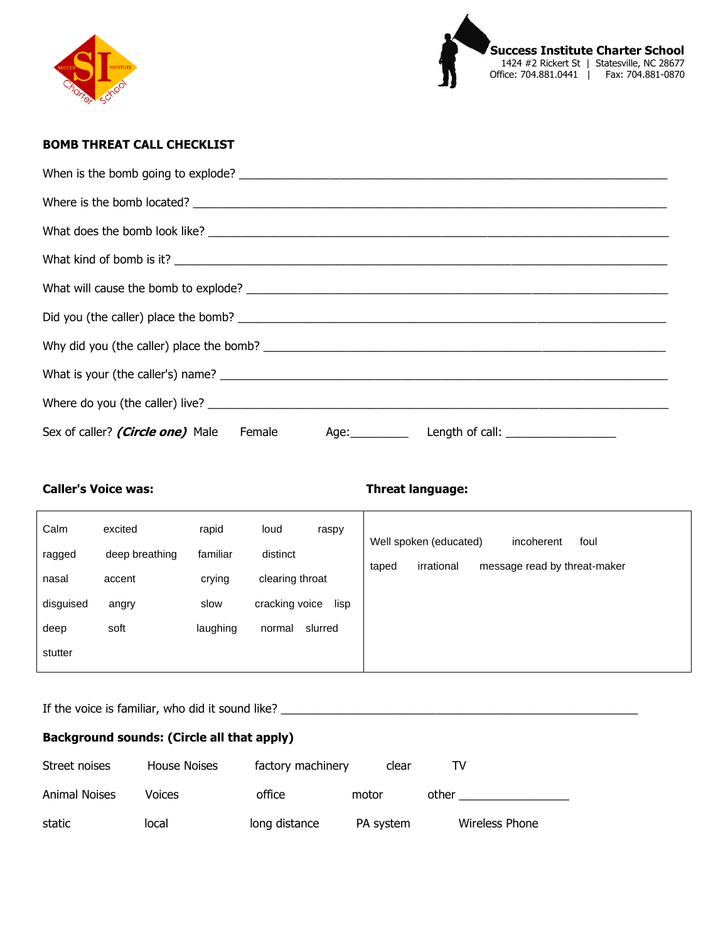



# **BOMB THREAT CALL CHECKLIST**

| Sex of caller? (Circle one) Male Female |  |  |
|-----------------------------------------|--|--|

## **Caller's Voice was: Threat language:**

| Calm<br>ragged     | excited<br>deep breathing | rapid<br>familiar | loud<br>raspy<br>distinct                 | Well spoken (educated)<br>foul<br>incoherent<br>irrational<br>message read by threat-maker<br>taped |
|--------------------|---------------------------|-------------------|-------------------------------------------|-----------------------------------------------------------------------------------------------------|
| nasal<br>disguised | accent<br>angry           | crying<br>slow    | clearing throat<br>cracking voice<br>lisp |                                                                                                     |
| deep<br>stutter    | soft                      | laughing          | slurred<br>normal                         |                                                                                                     |

# If the voice is familiar, who did it sound like? \_\_\_\_\_\_\_\_\_\_\_\_\_\_\_\_\_\_\_\_\_\_\_\_\_\_\_\_\_\_\_\_\_\_\_\_\_\_\_\_\_\_\_\_\_\_\_\_\_\_\_\_\_\_\_

# **Background sounds: (Circle all that apply)**

| Street noises | House Noises | factory machinery | clear     | TV             |
|---------------|--------------|-------------------|-----------|----------------|
| Animal Noises | Voices       | office            | motor     | other          |
| static        | local        | long distance     | PA system | Wireless Phone |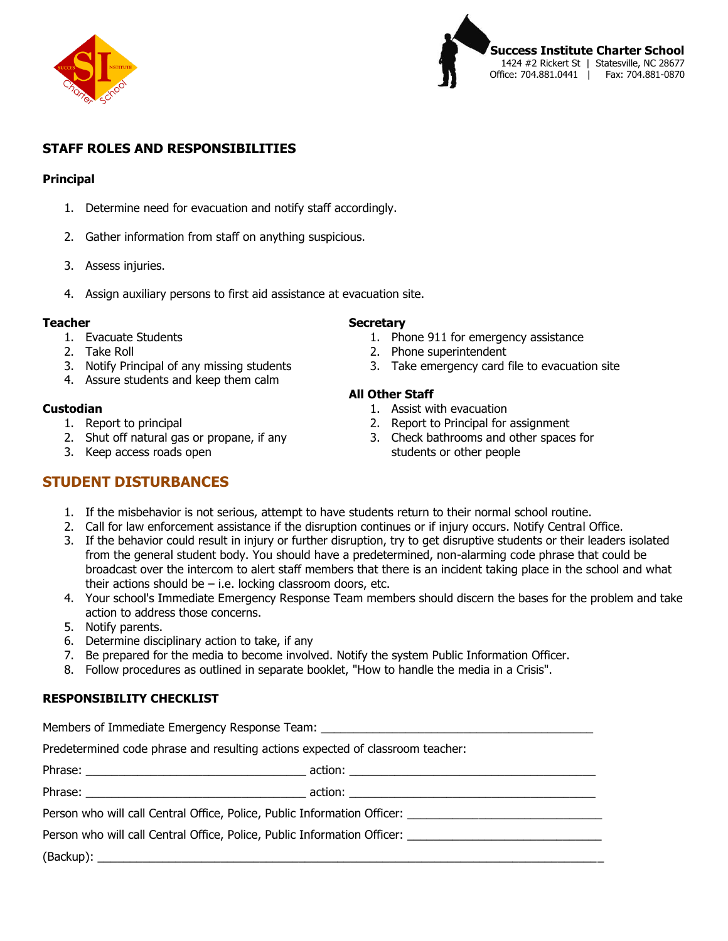



# **STAFF ROLES AND RESPONSIBILITIES**

#### **Principal**

- 1. Determine need for evacuation and notify staff accordingly.
- 2. Gather information from staff on anything suspicious.
- 3. Assess injuries.
- 4. Assign auxiliary persons to first aid assistance at evacuation site.

#### **Teacher**

- 1. Evacuate Students
- 2. Take Roll
- 3. Notify Principal of any missing students
- 4. Assure students and keep them calm

#### **Custodian**

- 1. Report to principal
- 2. Shut off natural gas or propane, if any
- 3. Keep access roads open

# **Secretary**

- 1. Phone 911 for emergency assistance
- 2. Phone superintendent
- 3. Take emergency card file to evacuation site

## **All Other Staff**

- 1. Assist with evacuation
- 2. Report to Principal for assignment
- 3. Check bathrooms and other spaces for students or other people
- **STUDENT DISTURBANCES**
	- 1. If the misbehavior is not serious, attempt to have students return to their normal school routine.
	- 2. Call for law enforcement assistance if the disruption continues or if injury occurs. Notify Central Office.
	- 3. If the behavior could result in injury or further disruption, try to get disruptive students or their leaders isolated from the general student body. You should have a predetermined, non-alarming code phrase that could be broadcast over the intercom to alert staff members that there is an incident taking place in the school and what their actions should be  $-$  i.e. locking classroom doors, etc.
	- 4. Your school's Immediate Emergency Response Team members should discern the bases for the problem and take action to address those concerns.
	- 5. Notify parents.
	- 6. Determine disciplinary action to take, if any
	- 7. Be prepared for the media to become involved. Notify the system Public Information Officer.
	- 8. Follow procedures as outlined in separate booklet, "How to handle the media in a Crisis".

## **RESPONSIBILITY CHECKLIST**

Members of Immediate Emergency Response Team:

Predetermined code phrase and resulting actions expected of classroom teacher:

| Person who will call Central Office, Police, Public Information Officer: __________________________ |  |  |
|-----------------------------------------------------------------------------------------------------|--|--|
| Person who will call Central Office, Police, Public Information Officer: __________________________ |  |  |
|                                                                                                     |  |  |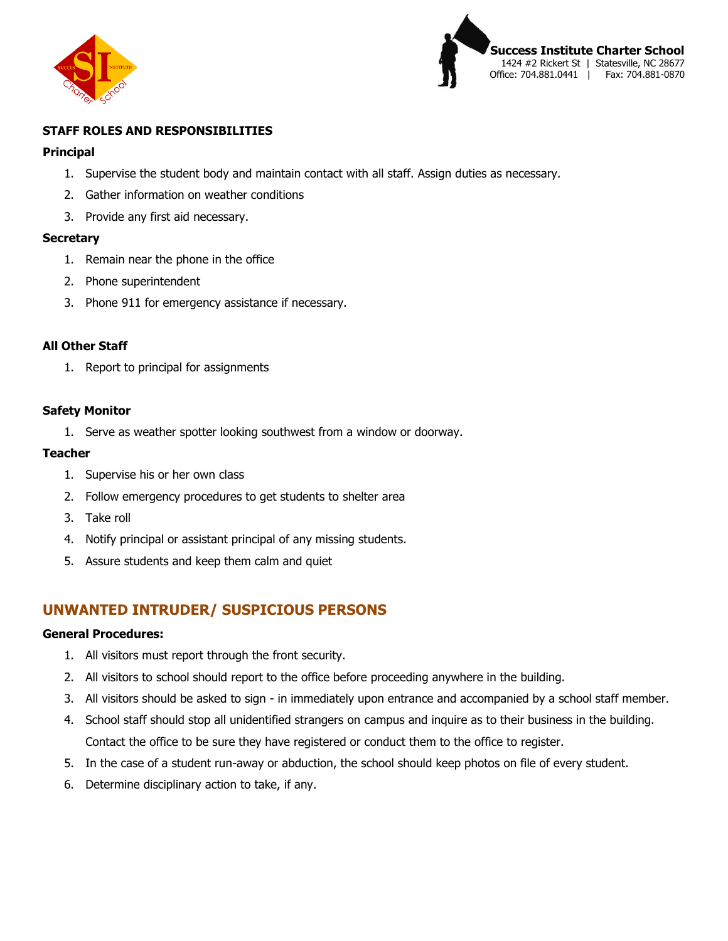![](_page_4_Picture_0.jpeg)

![](_page_4_Picture_1.jpeg)

# **STAFF ROLES AND RESPONSIBILITIES**

#### **Principal**

- 1. Supervise the student body and maintain contact with all staff. Assign duties as necessary.
- 2. Gather information on weather conditions
- 3. Provide any first aid necessary.

#### **Secretary**

- 1. Remain near the phone in the office
- 2. Phone superintendent
- 3. Phone 911 for emergency assistance if necessary.

#### **All Other Staff**

1. Report to principal for assignments

#### **Safety Monitor**

1. Serve as weather spotter looking southwest from a window or doorway.

#### **Teacher**

- 1. Supervise his or her own class
- 2. Follow emergency procedures to get students to shelter area
- 3. Take roll
- 4. Notify principal or assistant principal of any missing students.
- 5. Assure students and keep them calm and quiet

# **UNWANTED INTRUDER/ SUSPICIOUS PERSONS**

#### **General Procedures:**

- 1. All visitors must report through the front security.
- 2. All visitors to school should report to the office before proceeding anywhere in the building.
- 3. All visitors should be asked to sign in immediately upon entrance and accompanied by a school staff member.
- 4. School staff should stop all unidentified strangers on campus and inquire as to their business in the building. Contact the office to be sure they have registered or conduct them to the office to register.
- 5. In the case of a student run-away or abduction, the school should keep photos on file of every student.
- 6. Determine disciplinary action to take, if any.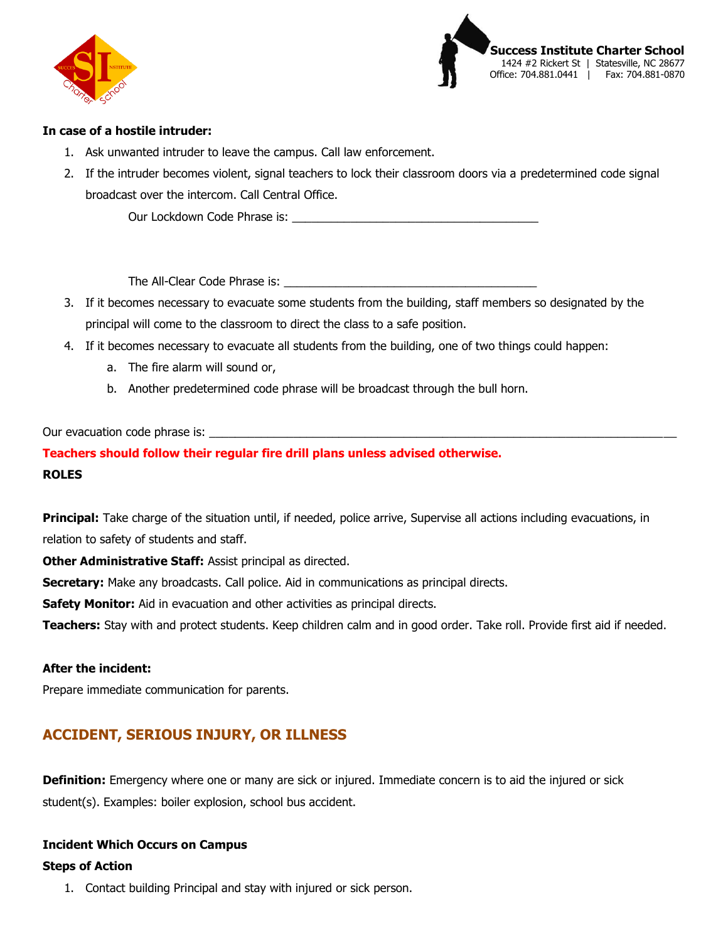![](_page_5_Picture_0.jpeg)

![](_page_5_Picture_1.jpeg)

### **In case of a hostile intruder:**

- 1. Ask unwanted intruder to leave the campus. Call law enforcement.
- 2. If the intruder becomes violent, signal teachers to lock their classroom doors via a predetermined code signal broadcast over the intercom. Call Central Office.

Our Lockdown Code Phrase is:

The All-Clear Code Phrase is: \_\_\_\_\_\_\_\_\_\_\_\_\_\_\_\_\_\_\_\_\_\_\_\_\_\_\_\_\_\_\_\_\_\_\_\_\_\_\_

- 3. If it becomes necessary to evacuate some students from the building, staff members so designated by the principal will come to the classroom to direct the class to a safe position.
- 4. If it becomes necessary to evacuate all students from the building, one of two things could happen:
	- a. The fire alarm will sound or,
	- b. Another predetermined code phrase will be broadcast through the bull horn.

# Our evacuation code phrase is: \_\_\_\_\_\_\_\_\_\_\_\_\_\_\_\_\_\_\_\_\_\_\_\_\_\_\_\_\_\_\_\_\_\_\_\_\_\_\_\_\_\_\_\_\_\_\_\_\_\_\_\_\_\_\_\_\_\_\_\_\_\_\_\_\_\_\_\_\_\_\_\_

# **Teachers should follow their regular fire drill plans unless advised otherwise. ROLES**

**Principal:** Take charge of the situation until, if needed, police arrive, Supervise all actions including evacuations, in relation to safety of students and staff.

**Other Administrative Staff:** Assist principal as directed.

**Secretary:** Make any broadcasts. Call police. Aid in communications as principal directs.

**Safety Monitor:** Aid in evacuation and other activities as principal directs.

**Teachers:** Stay with and protect students. Keep children calm and in good order. Take roll. Provide first aid if needed.

#### **After the incident:**

Prepare immediate communication for parents.

# **ACCIDENT, SERIOUS INJURY, OR ILLNESS**

**Definition:** Emergency where one or many are sick or injured. Immediate concern is to aid the injured or sick student(s). Examples: boiler explosion, school bus accident.

#### **Incident Which Occurs on Campus**

#### **Steps of Action**

1. Contact building Principal and stay with injured or sick person.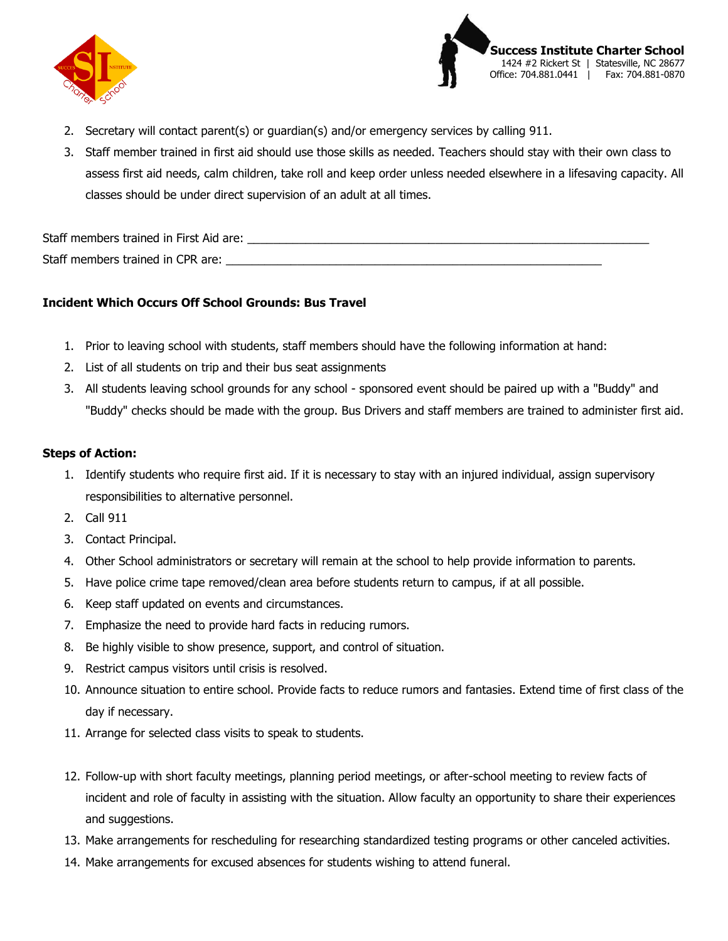![](_page_6_Picture_0.jpeg)

![](_page_6_Picture_1.jpeg)

- 2. Secretary will contact parent(s) or guardian(s) and/or emergency services by calling 911.
- 3. Staff member trained in first aid should use those skills as needed. Teachers should stay with their own class to assess first aid needs, calm children, take roll and keep order unless needed elsewhere in a lifesaving capacity. All classes should be under direct supervision of an adult at all times.

Staff members trained in First Aid are: Staff members trained in CPR are:

# **Incident Which Occurs Off School Grounds: Bus Travel**

- 1. Prior to leaving school with students, staff members should have the following information at hand:
- 2. List of all students on trip and their bus seat assignments
- 3. All students leaving school grounds for any school sponsored event should be paired up with a "Buddy" and "Buddy" checks should be made with the group. Bus Drivers and staff members are trained to administer first aid.

## **Steps of Action:**

- 1. Identify students who require first aid. If it is necessary to stay with an injured individual, assign supervisory responsibilities to alternative personnel.
- 2. Call 911
- 3. Contact Principal.
- 4. Other School administrators or secretary will remain at the school to help provide information to parents.
- 5. Have police crime tape removed/clean area before students return to campus, if at all possible.
- 6. Keep staff updated on events and circumstances.
- 7. Emphasize the need to provide hard facts in reducing rumors.
- 8. Be highly visible to show presence, support, and control of situation.
- 9. Restrict campus visitors until crisis is resolved.
- 10. Announce situation to entire school. Provide facts to reduce rumors and fantasies. Extend time of first class of the day if necessary.
- 11. Arrange for selected class visits to speak to students.
- 12. Follow-up with short faculty meetings, planning period meetings, or after-school meeting to review facts of incident and role of faculty in assisting with the situation. Allow faculty an opportunity to share their experiences and suggestions.
- 13. Make arrangements for rescheduling for researching standardized testing programs or other canceled activities.
- 14. Make arrangements for excused absences for students wishing to attend funeral.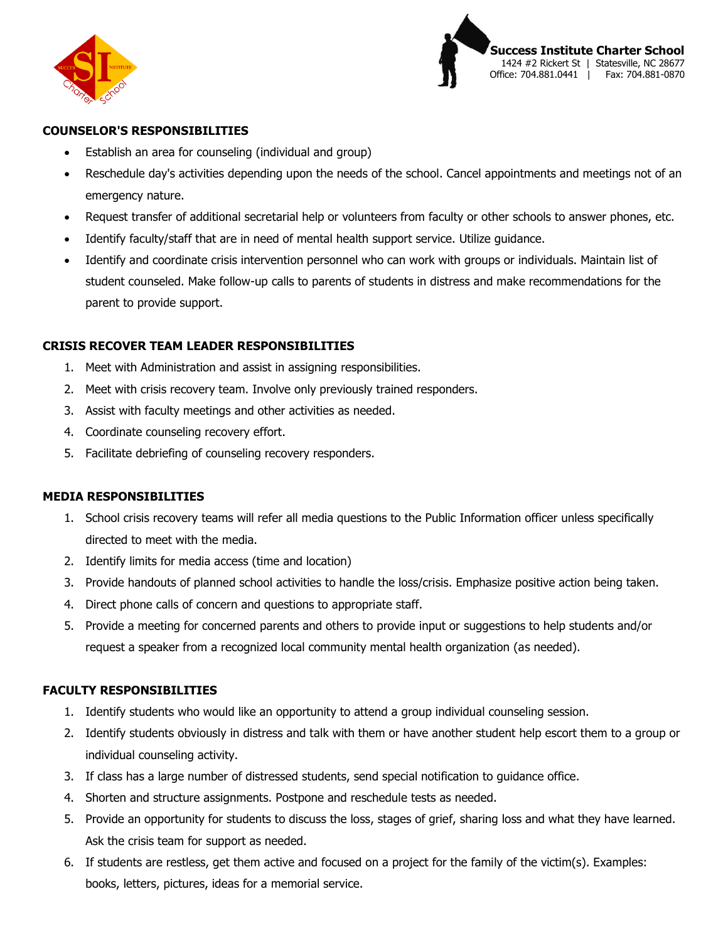![](_page_7_Picture_0.jpeg)

![](_page_7_Picture_1.jpeg)

## **COUNSELOR'S RESPONSIBILITIES**

- Establish an area for counseling (individual and group)
- Reschedule day's activities depending upon the needs of the school. Cancel appointments and meetings not of an emergency nature.
- Request transfer of additional secretarial help or volunteers from faculty or other schools to answer phones, etc.
- Identify faculty/staff that are in need of mental health support service. Utilize guidance.
- Identify and coordinate crisis intervention personnel who can work with groups or individuals. Maintain list of student counseled. Make follow-up calls to parents of students in distress and make recommendations for the parent to provide support.

## **CRISIS RECOVER TEAM LEADER RESPONSIBILITIES**

- 1. Meet with Administration and assist in assigning responsibilities.
- 2. Meet with crisis recovery team. Involve only previously trained responders.
- 3. Assist with faculty meetings and other activities as needed.
- 4. Coordinate counseling recovery effort.
- 5. Facilitate debriefing of counseling recovery responders.

#### **MEDIA RESPONSIBILITIES**

- 1. School crisis recovery teams will refer all media questions to the Public Information officer unless specifically directed to meet with the media.
- 2. Identify limits for media access (time and location)
- 3. Provide handouts of planned school activities to handle the loss/crisis. Emphasize positive action being taken.
- 4. Direct phone calls of concern and questions to appropriate staff.
- 5. Provide a meeting for concerned parents and others to provide input or suggestions to help students and/or request a speaker from a recognized local community mental health organization (as needed).

#### **FACULTY RESPONSIBILITIES**

- 1. Identify students who would like an opportunity to attend a group individual counseling session.
- 2. Identify students obviously in distress and talk with them or have another student help escort them to a group or individual counseling activity.
- 3. If class has a large number of distressed students, send special notification to guidance office.
- 4. Shorten and structure assignments. Postpone and reschedule tests as needed.
- 5. Provide an opportunity for students to discuss the loss, stages of grief, sharing loss and what they have learned. Ask the crisis team for support as needed.
- 6. If students are restless, get them active and focused on a project for the family of the victim(s). Examples: books, letters, pictures, ideas for a memorial service.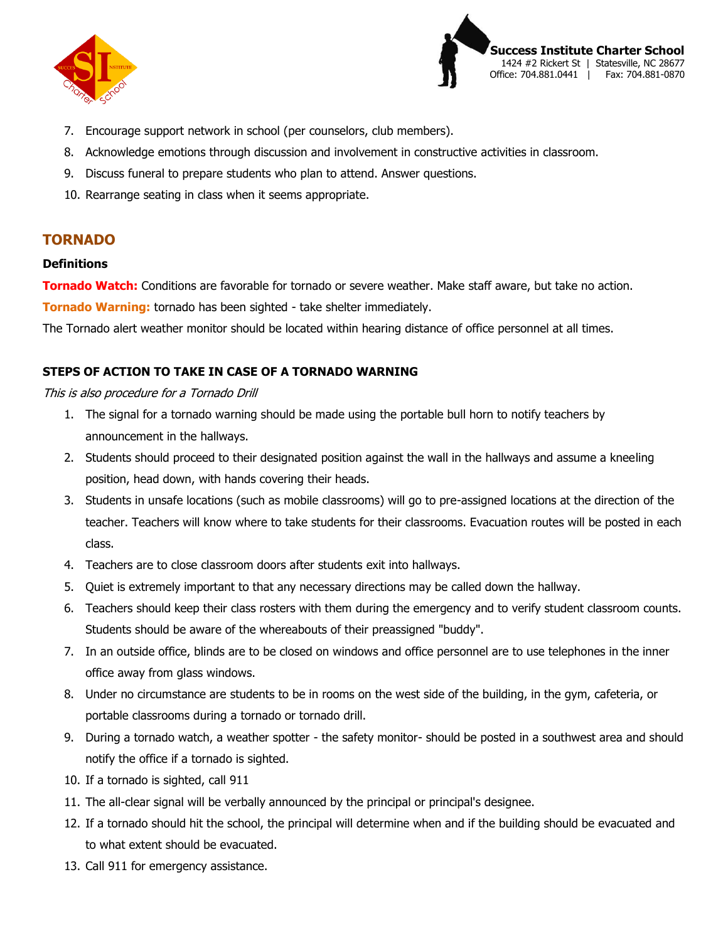![](_page_8_Picture_0.jpeg)

![](_page_8_Picture_1.jpeg)

- 7. Encourage support network in school (per counselors, club members).
- 8. Acknowledge emotions through discussion and involvement in constructive activities in classroom.
- 9. Discuss funeral to prepare students who plan to attend. Answer questions.
- 10. Rearrange seating in class when it seems appropriate.

# **TORNADO**

## **Definitions**

**Tornado Watch:** Conditions are favorable for tornado or severe weather. Make staff aware, but take no action.

**Tornado Warning:** tornado has been sighted - take shelter immediately.

The Tornado alert weather monitor should be located within hearing distance of office personnel at all times.

## **STEPS OF ACTION TO TAKE IN CASE OF A TORNADO WARNING**

#### This is also procedure for a Tornado Drill

- 1. The signal for a tornado warning should be made using the portable bull horn to notify teachers by announcement in the hallways.
- 2. Students should proceed to their designated position against the wall in the hallways and assume a kneeling position, head down, with hands covering their heads.
- 3. Students in unsafe locations (such as mobile classrooms) will go to pre-assigned locations at the direction of the teacher. Teachers will know where to take students for their classrooms. Evacuation routes will be posted in each class.
- 4. Teachers are to close classroom doors after students exit into hallways.
- 5. Quiet is extremely important to that any necessary directions may be called down the hallway.
- 6. Teachers should keep their class rosters with them during the emergency and to verify student classroom counts. Students should be aware of the whereabouts of their preassigned "buddy".
- 7. In an outside office, blinds are to be closed on windows and office personnel are to use telephones in the inner office away from glass windows.
- 8. Under no circumstance are students to be in rooms on the west side of the building, in the gym, cafeteria, or portable classrooms during a tornado or tornado drill.
- 9. During a tornado watch, a weather spotter the safety monitor- should be posted in a southwest area and should notify the office if a tornado is sighted.
- 10. If a tornado is sighted, call 911
- 11. The all-clear signal will be verbally announced by the principal or principal's designee.
- 12. If a tornado should hit the school, the principal will determine when and if the building should be evacuated and to what extent should be evacuated.
- 13. Call 911 for emergency assistance.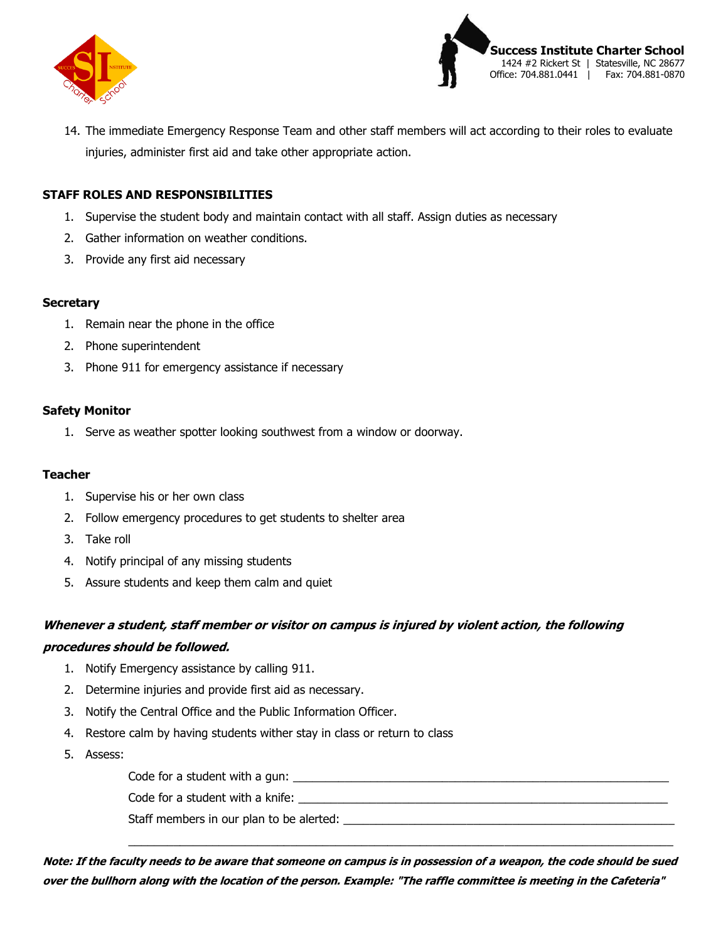![](_page_9_Picture_0.jpeg)

![](_page_9_Picture_1.jpeg)

14. The immediate Emergency Response Team and other staff members will act according to their roles to evaluate injuries, administer first aid and take other appropriate action.

## **STAFF ROLES AND RESPONSIBILITIES**

- 1. Supervise the student body and maintain contact with all staff. Assign duties as necessary
- 2. Gather information on weather conditions.
- 3. Provide any first aid necessary

#### **Secretary**

- 1. Remain near the phone in the office
- 2. Phone superintendent
- 3. Phone 911 for emergency assistance if necessary

#### **Safety Monitor**

1. Serve as weather spotter looking southwest from a window or doorway.

#### **Teacher**

- 1. Supervise his or her own class
- 2. Follow emergency procedures to get students to shelter area
- 3. Take roll
- 4. Notify principal of any missing students
- 5. Assure students and keep them calm and quiet

# **Whenever a student, staff member or visitor on campus is injured by violent action, the following procedures should be followed.**

- 1. Notify Emergency assistance by calling 911.
- 2. Determine injuries and provide first aid as necessary.
- 3. Notify the Central Office and the Public Information Officer.
- 4. Restore calm by having students wither stay in class or return to class
- 5. Assess:

Code for a student with a gun: \_\_\_\_\_\_\_\_\_\_\_\_\_\_\_\_\_\_\_\_\_\_\_\_\_\_\_\_\_\_\_\_\_\_\_\_\_\_\_\_\_\_\_\_\_\_\_\_\_\_\_\_\_\_\_\_\_\_

Code for a student with a knife: \_\_\_\_\_\_\_\_\_\_\_\_\_\_\_\_\_\_\_\_\_\_\_\_\_\_\_\_\_\_\_\_\_\_\_\_\_\_\_\_\_\_\_\_\_\_\_\_\_\_\_\_\_\_\_\_\_

Staff members in our plan to be alerted:

**Note: If the faculty needs to be aware that someone on campus is in possession of a weapon, the code should be sued over the bullhorn along with the location of the person. Example: "The raffle committee is meeting in the Cafeteria"**

 $\_$  ,  $\_$  ,  $\_$  ,  $\_$  ,  $\_$  ,  $\_$  ,  $\_$  ,  $\_$  ,  $\_$  ,  $\_$  ,  $\_$  ,  $\_$  ,  $\_$  ,  $\_$  ,  $\_$  ,  $\_$  ,  $\_$  ,  $\_$  ,  $\_$  ,  $\_$  ,  $\_$  ,  $\_$  ,  $\_$  ,  $\_$  ,  $\_$  ,  $\_$  ,  $\_$  ,  $\_$  ,  $\_$  ,  $\_$  ,  $\_$  ,  $\_$  ,  $\_$  ,  $\_$  ,  $\_$  ,  $\_$  ,  $\_$  ,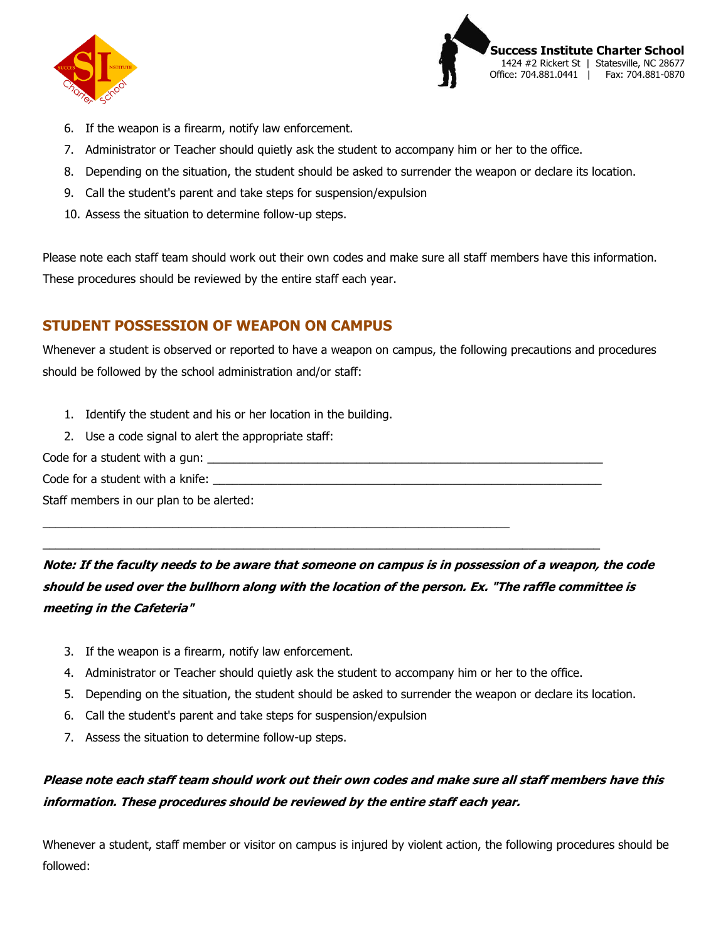![](_page_10_Picture_0.jpeg)

![](_page_10_Picture_1.jpeg)

- 6. If the weapon is a firearm, notify law enforcement.
- 7. Administrator or Teacher should quietly ask the student to accompany him or her to the office.
- 8. Depending on the situation, the student should be asked to surrender the weapon or declare its location.
- 9. Call the student's parent and take steps for suspension/expulsion
- 10. Assess the situation to determine follow-up steps.

Please note each staff team should work out their own codes and make sure all staff members have this information. These procedures should be reviewed by the entire staff each year.

# **STUDENT POSSESSION OF WEAPON ON CAMPUS**

Whenever a student is observed or reported to have a weapon on campus, the following precautions and procedures should be followed by the school administration and/or staff:

- 1. Identify the student and his or her location in the building.
- 2. Use a code signal to alert the appropriate staff:

Code for a student with a gun:

Code for a student with a knife:

Staff members in our plan to be alerted:

**Note: If the faculty needs to be aware that someone on campus is in possession of a weapon, the code should be used over the bullhorn along with the location of the person. Ex. "The raffle committee is meeting in the Cafeteria"**

- 3. If the weapon is a firearm, notify law enforcement.
- 4. Administrator or Teacher should quietly ask the student to accompany him or her to the office.

 $\_$  , and the set of the set of the set of the set of the set of the set of the set of the set of the set of the set of the set of the set of the set of the set of the set of the set of the set of the set of the set of th

- 5. Depending on the situation, the student should be asked to surrender the weapon or declare its location.
- 6. Call the student's parent and take steps for suspension/expulsion

 $\_$  , and the set of the set of the set of the set of the set of the set of the set of the set of the set of the set of the set of the set of the set of the set of the set of the set of the set of the set of the set of th

7. Assess the situation to determine follow-up steps.

# **Please note each staff team should work out their own codes and make sure all staff members have this information. These procedures should be reviewed by the entire staff each year.**

Whenever a student, staff member or visitor on campus is injured by violent action, the following procedures should be followed: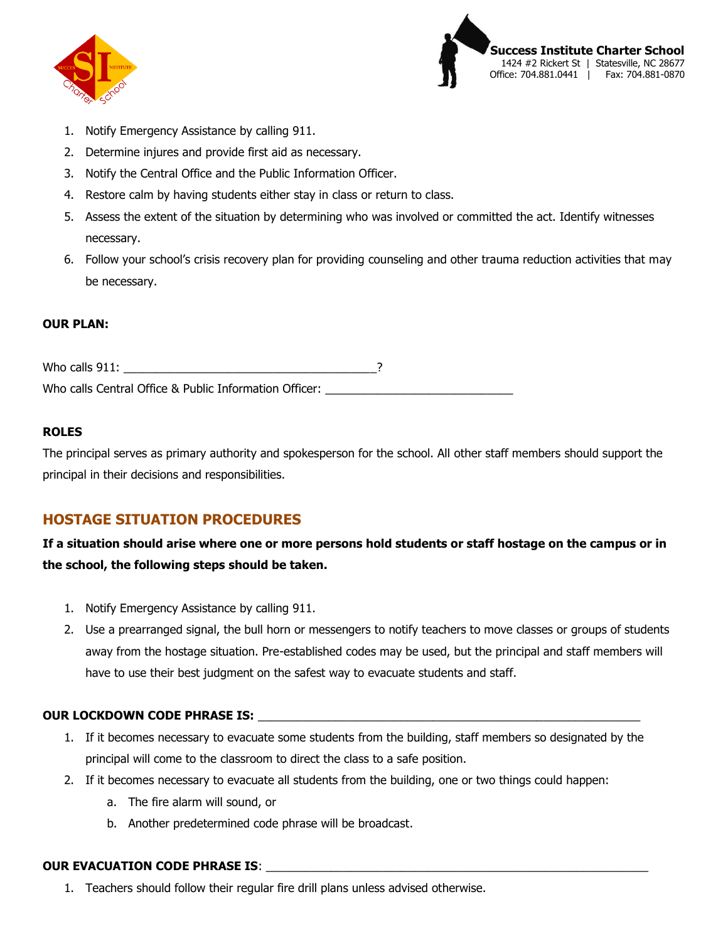![](_page_11_Picture_0.jpeg)

![](_page_11_Picture_1.jpeg)

- 1. Notify Emergency Assistance by calling 911.
- 2. Determine injures and provide first aid as necessary.
- 3. Notify the Central Office and the Public Information Officer.
- 4. Restore calm by having students either stay in class or return to class.
- 5. Assess the extent of the situation by determining who was involved or committed the act. Identify witnesses necessary.
- 6. Follow your school's crisis recovery plan for providing counseling and other trauma reduction activities that may be necessary.

#### **OUR PLAN:**

| Who calls 911:                                         |  |
|--------------------------------------------------------|--|
| Who calls Central Office & Public Information Officer: |  |

### **ROLES**

The principal serves as primary authority and spokesperson for the school. All other staff members should support the principal in their decisions and responsibilities.

# **HOSTAGE SITUATION PROCEDURES**

# **If a situation should arise where one or more persons hold students or staff hostage on the campus or in the school, the following steps should be taken.**

- 1. Notify Emergency Assistance by calling 911.
- 2. Use a prearranged signal, the bull horn or messengers to notify teachers to move classes or groups of students away from the hostage situation. Pre-established codes may be used, but the principal and staff members will have to use their best judgment on the safest way to evacuate students and staff.

#### **OUR LOCKDOWN CODE PHRASE IS:**

- 1. If it becomes necessary to evacuate some students from the building, staff members so designated by the principal will come to the classroom to direct the class to a safe position.
- 2. If it becomes necessary to evacuate all students from the building, one or two things could happen:
	- a. The fire alarm will sound, or
	- b. Another predetermined code phrase will be broadcast.

# **OUR EVACUATION CODE PHRASE IS:**

1. Teachers should follow their regular fire drill plans unless advised otherwise.